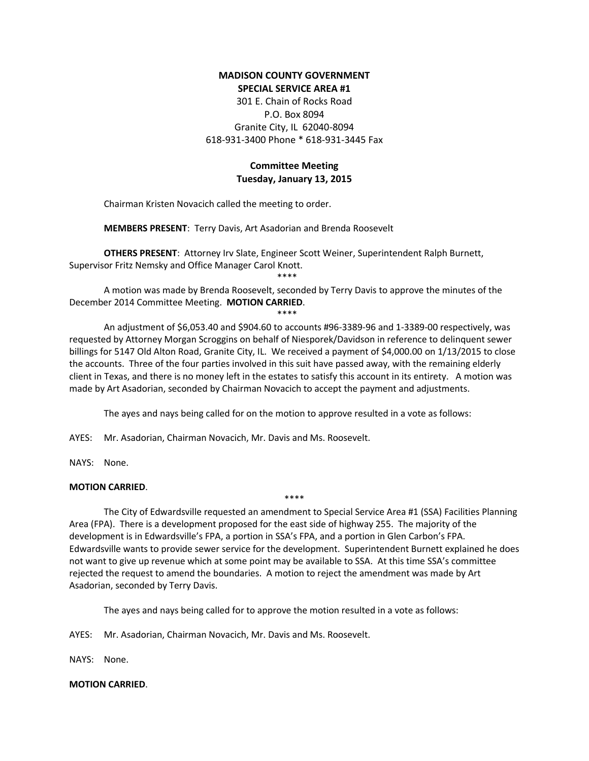## **MADISON COUNTY GOVERNMENT SPECIAL SERVICE AREA #1**

301 E. Chain of Rocks Road P.O. Box 8094 Granite City, IL 62040-8094 618-931-3400 Phone \* 618-931-3445 Fax

# **Committee Meeting Tuesday, January 13, 2015**

Chairman Kristen Novacich called the meeting to order.

**MEMBERS PRESENT**: Terry Davis, Art Asadorian and Brenda Roosevelt

**OTHERS PRESENT**: Attorney Irv Slate, Engineer Scott Weiner, Superintendent Ralph Burnett, Supervisor Fritz Nemsky and Office Manager Carol Knott.

\*\*\*\*

A motion was made by Brenda Roosevelt, seconded by Terry Davis to approve the minutes of the December 2014 Committee Meeting. **MOTION CARRIED**.

\*\*\*\*

An adjustment of \$6,053.40 and \$904.60 to accounts #96-3389-96 and 1-3389-00 respectively, was requested by Attorney Morgan Scroggins on behalf of Niesporek/Davidson in reference to delinquent sewer billings for 5147 Old Alton Road, Granite City, IL. We received a payment of \$4,000.00 on 1/13/2015 to close the accounts. Three of the four parties involved in this suit have passed away, with the remaining elderly client in Texas, and there is no money left in the estates to satisfy this account in its entirety. A motion was made by Art Asadorian, seconded by Chairman Novacich to accept the payment and adjustments.

The ayes and nays being called for on the motion to approve resulted in a vote as follows:

AYES: Mr. Asadorian, Chairman Novacich, Mr. Davis and Ms. Roosevelt.

NAYS: None.

## **MOTION CARRIED**.

The City of Edwardsville requested an amendment to Special Service Area #1 (SSA) Facilities Planning Area (FPA). There is a development proposed for the east side of highway 255. The majority of the development is in Edwardsville's FPA, a portion in SSA's FPA, and a portion in Glen Carbon's FPA. Edwardsville wants to provide sewer service for the development. Superintendent Burnett explained he does not want to give up revenue which at some point may be available to SSA. At this time SSA's committee rejected the request to amend the boundaries. A motion to reject the amendment was made by Art Asadorian, seconded by Terry Davis.

\*\*\*\*

The ayes and nays being called for to approve the motion resulted in a vote as follows:

AYES: Mr. Asadorian, Chairman Novacich, Mr. Davis and Ms. Roosevelt.

NAYS: None.

## **MOTION CARRIED**.